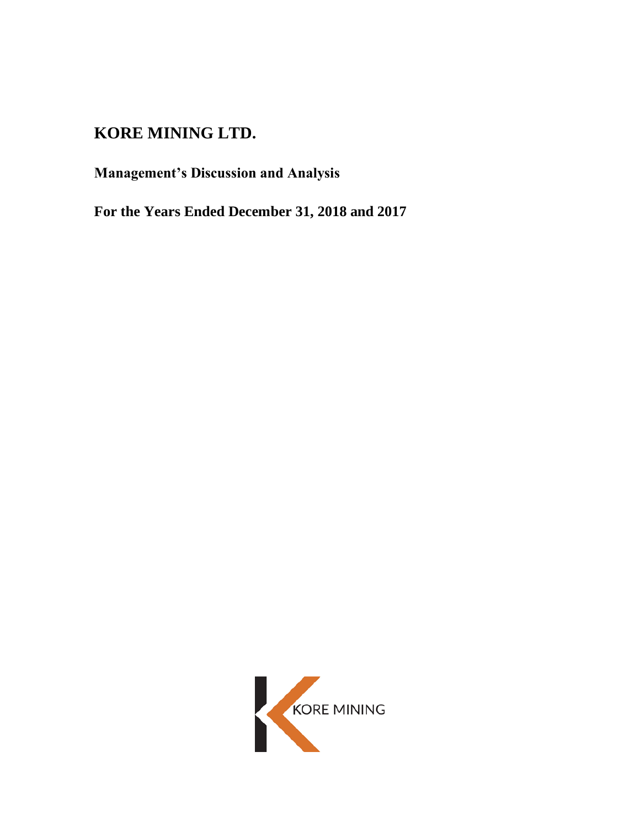# **KORE MINING LTD.**

**Management's Discussion and Analysis**

**For the Years Ended December 31, 2018 and 2017**

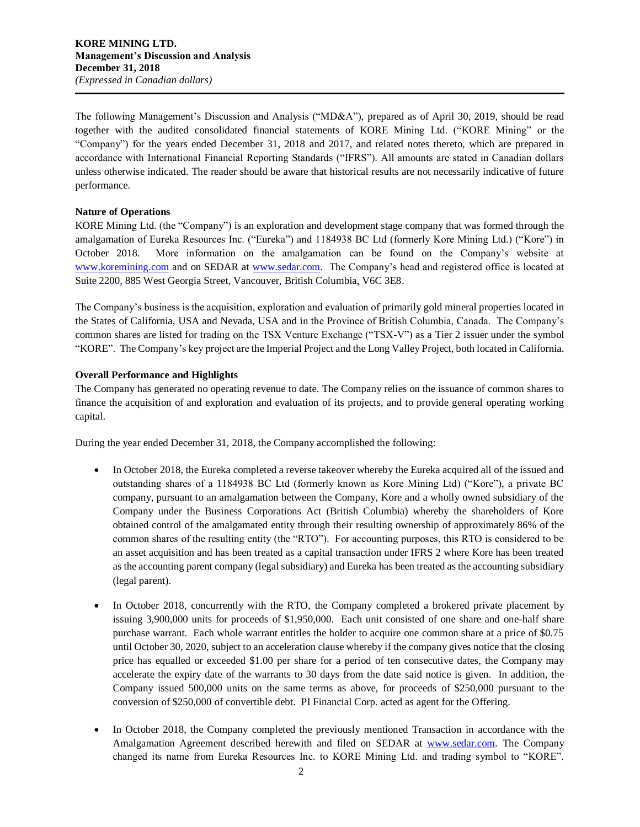The following Management's Discussion and Analysis ("MD&A"), prepared as of April 30, 2019, should be read together with the audited consolidated financial statements of KORE Mining Ltd. ("KORE Mining" or the "Company") for the years ended December 31, 2018 and 2017, and related notes thereto, which are prepared in accordance with International Financial Reporting Standards ("IFRS"). All amounts are stated in Canadian dollars unless otherwise indicated. The reader should be aware that historical results are not necessarily indicative of future performance.

# **Nature of Operations**

KORE Mining Ltd. (the "Company") is an exploration and development stage company that was formed through the amalgamation of Eureka Resources Inc. ("Eureka") and 1184938 BC Ltd (formerly Kore Mining Ltd.) ("Kore") in October 2018. More information on the amalgamation can be found on the Company's website at [www.koremining.com](http://www.koremining.com/) and on SEDAR at [www.sedar.com.](http://www.sedar.com/) The Company's head and registered office is located at Suite 2200, 885 West Georgia Street, Vancouver, British Columbia, V6C 3E8.

The Company's business is the acquisition, exploration and evaluation of primarily gold mineral properties located in the States of California, USA and Nevada, USA and in the Province of British Columbia, Canada. The Company's common shares are listed for trading on the TSX Venture Exchange ("TSX-V") as a Tier 2 issuer under the symbol "KORE". The Company's key project are the Imperial Project and the Long Valley Project, both located in California.

# **Overall Performance and Highlights**

The Company has generated no operating revenue to date. The Company relies on the issuance of common shares to finance the acquisition of and exploration and evaluation of its projects, and to provide general operating working capital.

During the year ended December 31, 2018, the Company accomplished the following:

- In October 2018, the Eureka completed a reverse takeover whereby the Eureka acquired all of the issued and outstanding shares of a 1184938 BC Ltd (formerly known as Kore Mining Ltd) ("Kore"), a private BC company, pursuant to an amalgamation between the Company, Kore and a wholly owned subsidiary of the Company under the Business Corporations Act (British Columbia) whereby the shareholders of Kore obtained control of the amalgamated entity through their resulting ownership of approximately 86% of the common shares of the resulting entity (the "RTO"). For accounting purposes, this RTO is considered to be an asset acquisition and has been treated as a capital transaction under IFRS 2 where Kore has been treated as the accounting parent company (legal subsidiary) and Eureka has been treated as the accounting subsidiary (legal parent).
- In October 2018, concurrently with the RTO, the Company completed a brokered private placement by issuing 3,900,000 units for proceeds of \$1,950,000. Each unit consisted of one share and one-half share purchase warrant. Each whole warrant entitles the holder to acquire one common share at a price of \$0.75 until October 30, 2020, subject to an acceleration clause whereby if the company gives notice that the closing price has equalled or exceeded \$1.00 per share for a period of ten consecutive dates, the Company may accelerate the expiry date of the warrants to 30 days from the date said notice is given. In addition, the Company issued 500,000 units on the same terms as above, for proceeds of \$250,000 pursuant to the conversion of \$250,000 of convertible debt. PI Financial Corp. acted as agent for the Offering.
- In October 2018, the Company completed the previously mentioned Transaction in accordance with the Amalgamation Agreement described herewith and filed on SEDAR at [www.sedar.com.](http://www.sedar.com/) The Company changed its name from Eureka Resources Inc. to KORE Mining Ltd. and trading symbol to "KORE".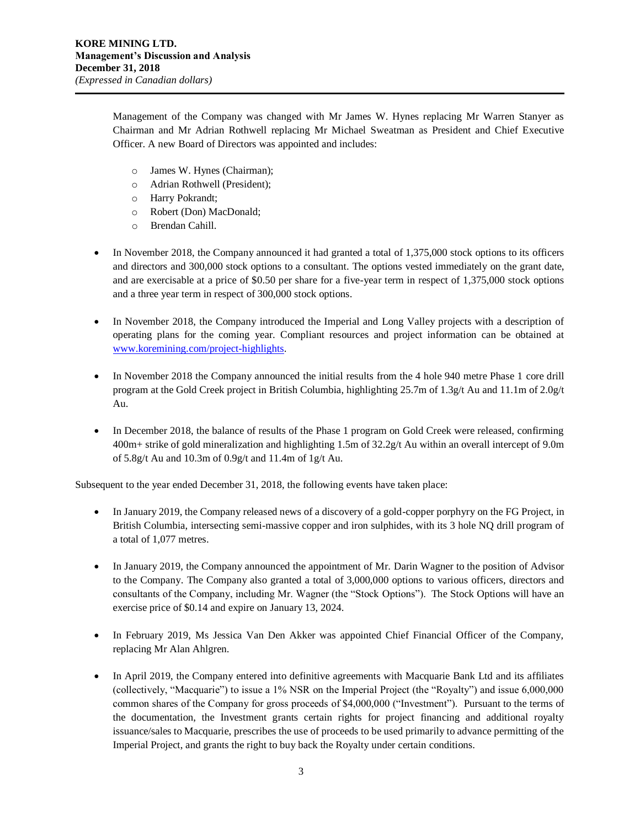Management of the Company was changed with Mr James W. Hynes replacing Mr Warren Stanyer as Chairman and Mr Adrian Rothwell replacing Mr Michael Sweatman as President and Chief Executive Officer. A new Board of Directors was appointed and includes:

- o James W. Hynes (Chairman);
- o Adrian Rothwell (President);
- o Harry Pokrandt;
- o Robert (Don) MacDonald;
- o Brendan Cahill.
- In November 2018, the Company announced it had granted a total of 1,375,000 stock options to its officers and directors and 300,000 stock options to a consultant. The options vested immediately on the grant date, and are exercisable at a price of \$0.50 per share for a five-year term in respect of 1,375,000 stock options and a three year term in respect of 300,000 stock options.
- In November 2018, the Company introduced the Imperial and Long Valley projects with a description of operating plans for the coming year. Compliant resources and project information can be obtained at [www.koremining.com/project-highlights.](http://www.koremining.com/project-highlights)
- In November 2018 the Company announced the initial results from the 4 hole 940 metre Phase 1 core drill program at the Gold Creek project in British Columbia, highlighting 25.7m of 1.3g/t Au and 11.1m of 2.0g/t Au.
- In December 2018, the balance of results of the Phase 1 program on Gold Creek were released, confirming 400m+ strike of gold mineralization and highlighting 1.5m of 32.2g/t Au within an overall intercept of 9.0m of 5.8g/t Au and 10.3m of 0.9g/t and 11.4m of 1g/t Au.

Subsequent to the year ended December 31, 2018, the following events have taken place:

- In January 2019, the Company released news of a discovery of a gold-copper porphyry on the FG Project, in British Columbia, intersecting semi-massive copper and iron sulphides, with its 3 hole NQ drill program of a total of 1,077 metres.
- In January 2019, the Company announced the appointment of Mr. Darin Wagner to the position of Advisor to the Company. The Company also granted a total of 3,000,000 options to various officers, directors and consultants of the Company, including Mr. Wagner (the "Stock Options"). The Stock Options will have an exercise price of \$0.14 and expire on January 13, 2024.
- In February 2019, Ms Jessica Van Den Akker was appointed Chief Financial Officer of the Company, replacing Mr Alan Ahlgren.
- In April 2019, the Company entered into definitive agreements with Macquarie Bank Ltd and its affiliates (collectively, "Macquarie") to issue a 1% NSR on the Imperial Project (the "Royalty") and issue 6,000,000 common shares of the Company for gross proceeds of \$4,000,000 ("Investment"). Pursuant to the terms of the documentation, the Investment grants certain rights for project financing and additional royalty issuance/sales to Macquarie, prescribes the use of proceeds to be used primarily to advance permitting of the Imperial Project, and grants the right to buy back the Royalty under certain conditions.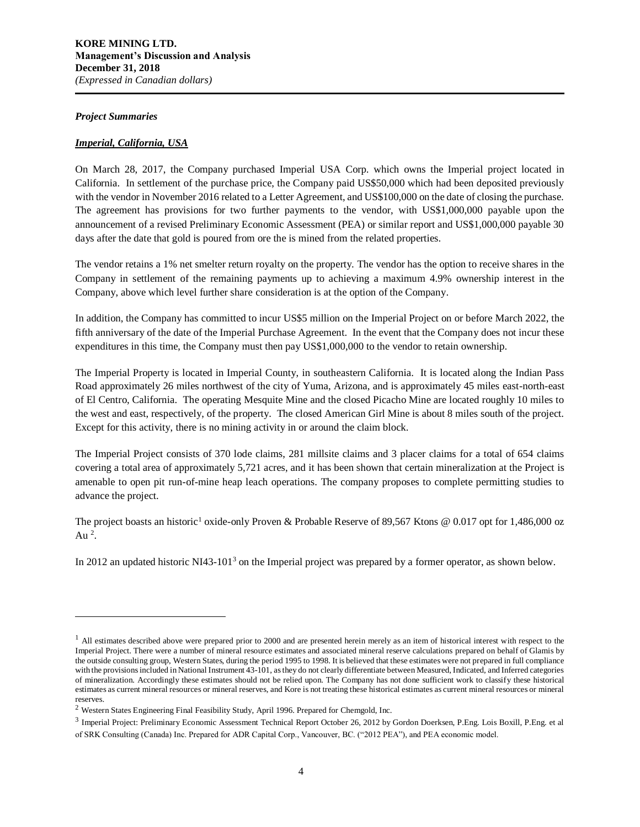#### *Project Summaries*

 $\overline{a}$ 

# *Imperial, California, USA*

On March 28, 2017, the Company purchased Imperial USA Corp. which owns the Imperial project located in California. In settlement of the purchase price, the Company paid US\$50,000 which had been deposited previously with the vendor in November 2016 related to a Letter Agreement, and US\$100,000 on the date of closing the purchase. The agreement has provisions for two further payments to the vendor, with US\$1,000,000 payable upon the announcement of a revised Preliminary Economic Assessment (PEA) or similar report and US\$1,000,000 payable 30 days after the date that gold is poured from ore the is mined from the related properties.

The vendor retains a 1% net smelter return royalty on the property. The vendor has the option to receive shares in the Company in settlement of the remaining payments up to achieving a maximum 4.9% ownership interest in the Company, above which level further share consideration is at the option of the Company.

In addition, the Company has committed to incur US\$5 million on the Imperial Project on or before March 2022, the fifth anniversary of the date of the Imperial Purchase Agreement. In the event that the Company does not incur these expenditures in this time, the Company must then pay US\$1,000,000 to the vendor to retain ownership.

The Imperial Property is located in Imperial County, in southeastern California. It is located along the Indian Pass Road approximately 26 miles northwest of the city of Yuma, Arizona, and is approximately 45 miles east-north-east of El Centro, California. The operating Mesquite Mine and the closed Picacho Mine are located roughly 10 miles to the west and east, respectively, of the property. The closed American Girl Mine is about 8 miles south of the project. Except for this activity, there is no mining activity in or around the claim block.

The Imperial Project consists of 370 lode claims, 281 millsite claims and 3 placer claims for a total of 654 claims covering a total area of approximately 5,721 acres, and it has been shown that certain mineralization at the Project is amenable to open pit run-of-mine heap leach operations. The company proposes to complete permitting studies to advance the project.

The project boasts an historic<sup>1</sup> oxide-only Proven & Probable Reserve of 89,567 Ktons @ 0.017 opt for 1,486,000 oz Au  $^2$ .

In 2012 an updated historic NI43-101<sup>3</sup> on the Imperial project was prepared by a former operator, as shown below.

 $<sup>1</sup>$  All estimates described above were prepared prior to 2000 and are presented herein merely as an item of historical interest with respect to the</sup> Imperial Project. There were a number of mineral resource estimates and associated mineral reserve calculations prepared on behalf of Glamis by the outside consulting group, Western States, during the period 1995 to 1998. It is believed that these estimates were not prepared in full compliance with the provisions included in National Instrument 43-101, as they do not clearly differentiate between Measured, Indicated, and Inferred categories of mineralization. Accordingly these estimates should not be relied upon. The Company has not done sufficient work to classify these historical estimates as current mineral resources or mineral reserves, and Kore is not treating these historical estimates as current mineral resources or mineral reserves.

<sup>2</sup> Western States Engineering Final Feasibility Study, April 1996. Prepared for Chemgold, Inc.

<sup>&</sup>lt;sup>3</sup> Imperial Project: Preliminary Economic Assessment Technical Report October 26, 2012 by Gordon Doerksen, P.Eng. Lois Boxill, P.Eng. et al of SRK Consulting (Canada) Inc. Prepared for ADR Capital Corp., Vancouver, BC. ("2012 PEA"), and PEA economic model.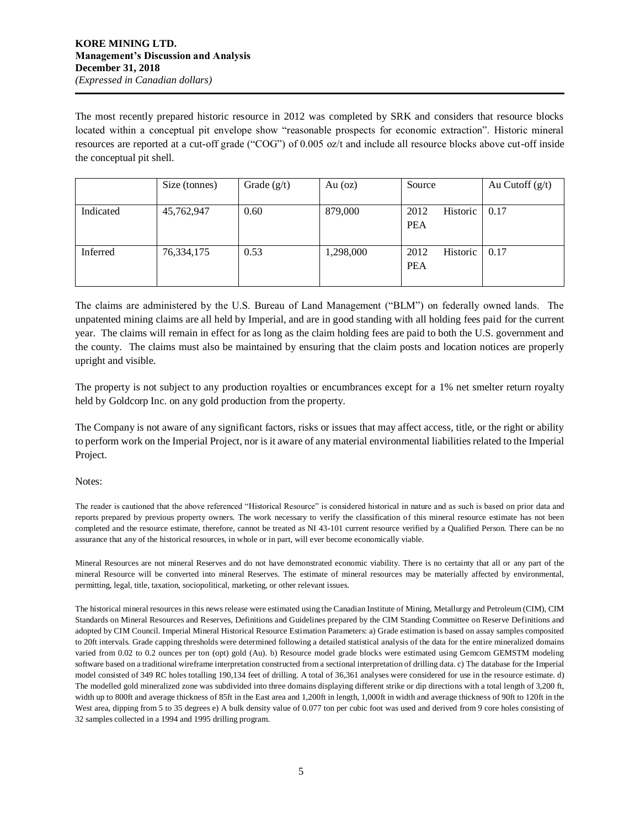The most recently prepared historic resource in 2012 was completed by SRK and considers that resource blocks located within a conceptual pit envelope show "reasonable prospects for economic extraction". Historic mineral resources are reported at a cut-off grade ("COG") of 0.005 oz/t and include all resource blocks above cut-off inside the conceptual pit shell.

|           | Size (tonnes) | Grade $(g/t)$ | Au $(oz)$ | Source           | Au Cutoff $(g/t)$ |
|-----------|---------------|---------------|-----------|------------------|-------------------|
|           |               |               |           |                  |                   |
| Indicated | 45,762,947    | 0.60          | 879,000   | 2012<br>Historic | 0.17              |
|           |               |               |           | <b>PEA</b>       |                   |
|           |               |               |           |                  |                   |
| Inferred  | 76,334,175    | 0.53          | 1,298,000 | 2012<br>Historic | 0.17              |
|           |               |               |           | <b>PEA</b>       |                   |
|           |               |               |           |                  |                   |

The claims are administered by the U.S. Bureau of Land Management ("BLM") on federally owned lands. The unpatented mining claims are all held by Imperial, and are in good standing with all holding fees paid for the current year. The claims will remain in effect for as long as the claim holding fees are paid to both the U.S. government and the county. The claims must also be maintained by ensuring that the claim posts and location notices are properly upright and visible.

The property is not subject to any production royalties or encumbrances except for a 1% net smelter return royalty held by Goldcorp Inc. on any gold production from the property.

The Company is not aware of any significant factors, risks or issues that may affect access, title, or the right or ability to perform work on the Imperial Project, nor is it aware of any material environmental liabilities related to the Imperial Project.

#### Notes:

The reader is cautioned that the above referenced "Historical Resource" is considered historical in nature and as such is based on prior data and reports prepared by previous property owners. The work necessary to verify the classification of this mineral resource estimate has not been completed and the resource estimate, therefore, cannot be treated as NI 43-101 current resource verified by a Qualified Person. There can be no assurance that any of the historical resources, in whole or in part, will ever become economically viable.

Mineral Resources are not mineral Reserves and do not have demonstrated economic viability. There is no certainty that all or any part of the mineral Resource will be converted into mineral Reserves. The estimate of mineral resources may be materially affected by environmental, permitting, legal, title, taxation, sociopolitical, marketing, or other relevant issues.

The historical mineral resources in this news release were estimated using the Canadian Institute of Mining, Metallurgy and Petroleum (CIM), CIM Standards on Mineral Resources and Reserves, Definitions and Guidelines prepared by the CIM Standing Committee on Reserve Definitions and adopted by CIM Council. Imperial Mineral Historical Resource Estimation Parameters: a) Grade estimation is based on assay samples composited to 20ft intervals. Grade capping thresholds were determined following a detailed statistical analysis of the data for the entire mineralized domains varied from 0.02 to 0.2 ounces per ton (opt) gold (Au). b) Resource model grade blocks were estimated using Gemcom GEMSTM modeling software based on a traditional wireframe interpretation constructed from a sectional interpretation of drilling data. c) The database for the Imperial model consisted of 349 RC holes totalling 190,134 feet of drilling. A total of 36,361 analyses were considered for use in the resource estimate. d) The modelled gold mineralized zone was subdivided into three domains displaying different strike or dip directions with a total length of 3,200 ft, width up to 800ft and average thickness of 85ft in the East area and 1,200ft in length, 1,000ft in width and average thickness of 90ft to 120ft in the West area, dipping from 5 to 35 degrees e) A bulk density value of 0.077 ton per cubic foot was used and derived from 9 core holes consisting of 32 samples collected in a 1994 and 1995 drilling program.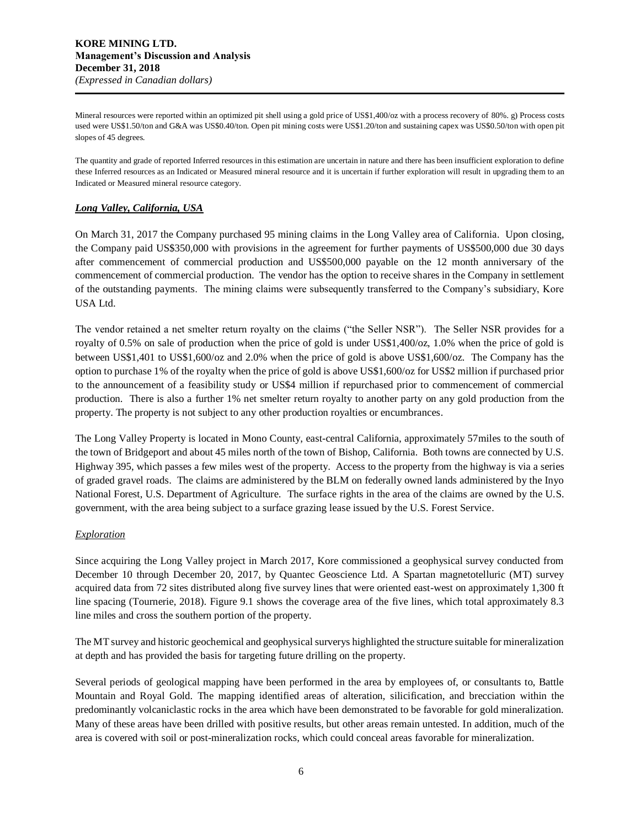Mineral resources were reported within an optimized pit shell using a gold price of US\$1,400/oz with a process recovery of 80%. g) Process costs used were US\$1.50/ton and G&A was US\$0.40/ton. Open pit mining costs were US\$1.20/ton and sustaining capex was US\$0.50/ton with open pit slopes of 45 degrees.

The quantity and grade of reported Inferred resources in this estimation are uncertain in nature and there has been insufficient exploration to define these Inferred resources as an Indicated or Measured mineral resource and it is uncertain if further exploration will result in upgrading them to an Indicated or Measured mineral resource category.

# *Long Valley, California, USA*

On March 31, 2017 the Company purchased 95 mining claims in the Long Valley area of California. Upon closing, the Company paid US\$350,000 with provisions in the agreement for further payments of US\$500,000 due 30 days after commencement of commercial production and US\$500,000 payable on the 12 month anniversary of the commencement of commercial production. The vendor has the option to receive shares in the Company in settlement of the outstanding payments. The mining claims were subsequently transferred to the Company's subsidiary, Kore USA Ltd.

The vendor retained a net smelter return royalty on the claims ("the Seller NSR"). The Seller NSR provides for a royalty of 0.5% on sale of production when the price of gold is under US\$1,400/oz, 1.0% when the price of gold is between US\$1,401 to US\$1,600/oz and 2.0% when the price of gold is above US\$1,600/oz. The Company has the option to purchase 1% of the royalty when the price of gold is above US\$1,600/oz for US\$2 million if purchased prior to the announcement of a feasibility study or US\$4 million if repurchased prior to commencement of commercial production. There is also a further 1% net smelter return royalty to another party on any gold production from the property. The property is not subject to any other production royalties or encumbrances.

The Long Valley Property is located in Mono County, east-central California, approximately 57miles to the south of the town of Bridgeport and about 45 miles north of the town of Bishop, California. Both towns are connected by U.S. Highway 395, which passes a few miles west of the property. Access to the property from the highway is via a series of graded gravel roads. The claims are administered by the BLM on federally owned lands administered by the Inyo National Forest, U.S. Department of Agriculture. The surface rights in the area of the claims are owned by the U.S. government, with the area being subject to a surface grazing lease issued by the U.S. Forest Service.

# *Exploration*

Since acquiring the Long Valley project in March 2017, Kore commissioned a geophysical survey conducted from December 10 through December 20, 2017, by Quantec Geoscience Ltd. A Spartan magnetotelluric (MT) survey acquired data from 72 sites distributed along five survey lines that were oriented east-west on approximately 1,300 ft line spacing (Tournerie, 2018). Figure 9.1 shows the coverage area of the five lines, which total approximately 8.3 line miles and cross the southern portion of the property.

The MT survey and historic geochemical and geophysical surverys highlighted the structure suitable for mineralization at depth and has provided the basis for targeting future drilling on the property.

Several periods of geological mapping have been performed in the area by employees of, or consultants to, Battle Mountain and Royal Gold. The mapping identified areas of alteration, silicification, and brecciation within the predominantly volcaniclastic rocks in the area which have been demonstrated to be favorable for gold mineralization. Many of these areas have been drilled with positive results, but other areas remain untested. In addition, much of the area is covered with soil or post-mineralization rocks, which could conceal areas favorable for mineralization.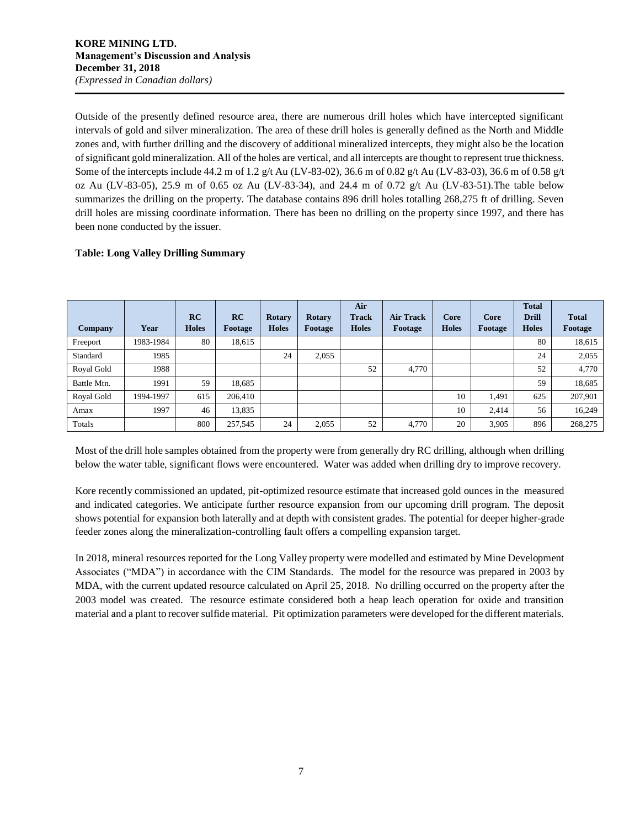Outside of the presently defined resource area, there are numerous drill holes which have intercepted significant intervals of gold and silver mineralization. The area of these drill holes is generally defined as the North and Middle zones and, with further drilling and the discovery of additional mineralized intercepts, they might also be the location of significant gold mineralization. All of the holes are vertical, and all intercepts are thought to represent true thickness. Some of the intercepts include 44.2 m of 1.2 g/t Au (LV-83-02), 36.6 m of 0.82 g/t Au (LV-83-03), 36.6 m of 0.58 g/t oz Au (LV-83-05), 25.9 m of 0.65 oz Au (LV-83-34), and 24.4 m of 0.72 g/t Au (LV-83-51).The table below summarizes the drilling on the property. The database contains 896 drill holes totalling 268,275 ft of drilling. Seven drill holes are missing coordinate information. There has been no drilling on the property since 1997, and there has been none conducted by the issuer.

# **Table: Long Valley Drilling Summary**

| <b>Company</b> | Year      | RC<br><b>Holes</b> | RC<br>Footage | <b>Rotary</b><br><b>Holes</b> | <b>Rotary</b><br>Footage | Air<br><b>Track</b><br><b>Holes</b> | <b>Air Track</b><br>Footage | Core<br><b>Holes</b> | Core<br>Footage | <b>Total</b><br><b>Drill</b><br><b>Holes</b> | <b>Total</b><br>Footage |
|----------------|-----------|--------------------|---------------|-------------------------------|--------------------------|-------------------------------------|-----------------------------|----------------------|-----------------|----------------------------------------------|-------------------------|
| Freeport       | 1983-1984 | 80                 | 18,615        |                               |                          |                                     |                             |                      |                 | 80                                           | 18,615                  |
| Standard       | 1985      |                    |               | 24                            | 2,055                    |                                     |                             |                      |                 | 24                                           | 2,055                   |
| Royal Gold     | 1988      |                    |               |                               |                          | 52                                  | 4.770                       |                      |                 | 52                                           | 4,770                   |
| Battle Mtn.    | 1991      | 59                 | 18,685        |                               |                          |                                     |                             |                      |                 | 59                                           | 18,685                  |
| Royal Gold     | 1994-1997 | 615                | 206,410       |                               |                          |                                     |                             | 10                   | 1.491           | 625                                          | 207,901                 |
| Amax           | 1997      | 46                 | 13,835        |                               |                          |                                     |                             | 10                   | 2.414           | 56                                           | 16.249                  |
| Totals         |           | 800                | 257,545       | 24                            | 2,055                    | 52                                  | 4,770                       | 20                   | 3,905           | 896                                          | 268,275                 |

Most of the drill hole samples obtained from the property were from generally dry RC drilling, although when drilling below the water table, significant flows were encountered. Water was added when drilling dry to improve recovery.

Kore recently commissioned an updated, pit-optimized resource estimate that increased gold ounces in the measured and indicated categories. We anticipate further resource expansion from our upcoming drill program. The deposit shows potential for expansion both laterally and at depth with consistent grades. The potential for deeper higher-grade feeder zones along the mineralization-controlling fault offers a compelling expansion target.

In 2018, mineral resources reported for the Long Valley property were modelled and estimated by Mine Development Associates ("MDA") in accordance with the CIM Standards. The model for the resource was prepared in 2003 by MDA, with the current updated resource calculated on April 25, 2018. No drilling occurred on the property after the 2003 model was created. The resource estimate considered both a heap leach operation for oxide and transition material and a plant to recover sulfide material. Pit optimization parameters were developed for the different materials.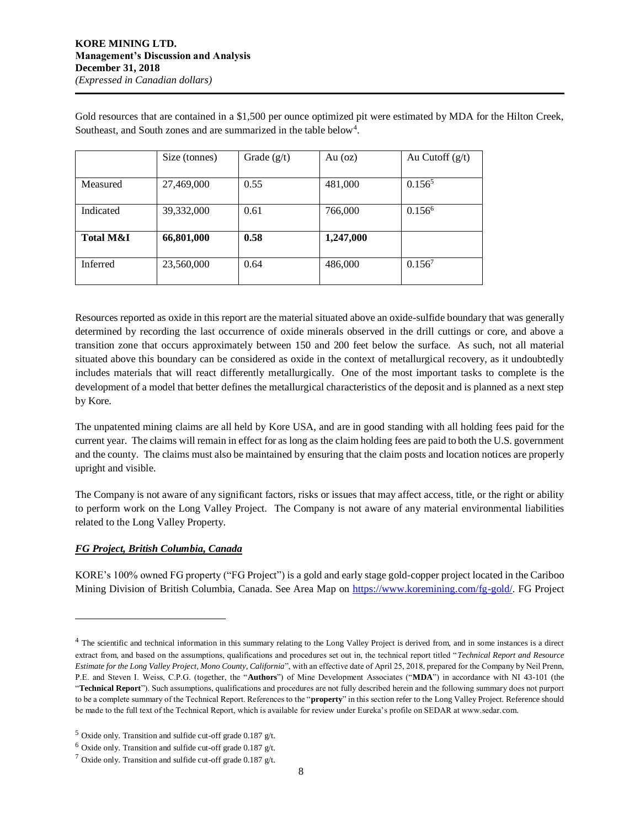Gold resources that are contained in a \$1,500 per ounce optimized pit were estimated by MDA for the Hilton Creek, Southeast, and South zones and are summarized in the table below<sup>4</sup>.

|                      | Size (tonnes) | Grade $(g/t)$ | Au $(oz)$ | Au Cutoff $(g/t)$ |
|----------------------|---------------|---------------|-----------|-------------------|
| Measured             | 27,469,000    | 0.55          | 481,000   | $0.156^5$         |
| Indicated            | 39,332,000    | 0.61          | 766,000   | $0.156^6$         |
| <b>Total M&amp;I</b> | 66,801,000    | 0.58          | 1,247,000 |                   |
| <b>Inferred</b>      | 23,560,000    | 0.64          | 486,000   | $0.156^7$         |

Resources reported as oxide in this report are the material situated above an oxide-sulfide boundary that was generally determined by recording the last occurrence of oxide minerals observed in the drill cuttings or core, and above a transition zone that occurs approximately between 150 and 200 feet below the surface. As such, not all material situated above this boundary can be considered as oxide in the context of metallurgical recovery, as it undoubtedly includes materials that will react differently metallurgically. One of the most important tasks to complete is the development of a model that better defines the metallurgical characteristics of the deposit and is planned as a next step by Kore.

The unpatented mining claims are all held by Kore USA, and are in good standing with all holding fees paid for the current year. The claims will remain in effect for as long as the claim holding fees are paid to both the U.S. government and the county. The claims must also be maintained by ensuring that the claim posts and location notices are properly upright and visible.

The Company is not aware of any significant factors, risks or issues that may affect access, title, or the right or ability to perform work on the Long Valley Project. The Company is not aware of any material environmental liabilities related to the Long Valley Property.

# *FG Project, British Columbia, Canada*

 $\overline{a}$ 

KORE's 100% owned FG property ("FG Project") is a gold and early stage gold-copper project located in the Cariboo Mining Division of British Columbia, Canada. See Area Map on [https://www.koremining.com/fg-gold/.](https://www.koremining.com/fg-gold/) FG Project

<sup>&</sup>lt;sup>4</sup> The scientific and technical information in this summary relating to the Long Valley Project is derived from, and in some instances is a direct extract from, and based on the assumptions, qualifications and procedures set out in, the technical report titled "*Technical Report and Resource Estimate for the Long Valley Project, Mono County, California*", with an effective date of April 25, 2018, prepared for the Company by Neil Prenn, P.E. and Steven I. Weiss, C.P.G. (together, the "**Authors**") of Mine Development Associates ("**MDA**") in accordance with NI 43-101 (the "**Technical Report**"). Such assumptions, qualifications and procedures are not fully described herein and the following summary does not purport to be a complete summary of the Technical Report. References to the "**property**" in this section refer to the Long Valley Project. Reference should be made to the full text of the Technical Report, which is available for review under Eureka's profile on SEDAR at www.sedar.com.

 $5$  Oxide only. Transition and sulfide cut-off grade 0.187 g/t.

 $6$  Oxide only. Transition and sulfide cut-off grade 0.187 g/t.

 $7$  Oxide only. Transition and sulfide cut-off grade 0.187 g/t.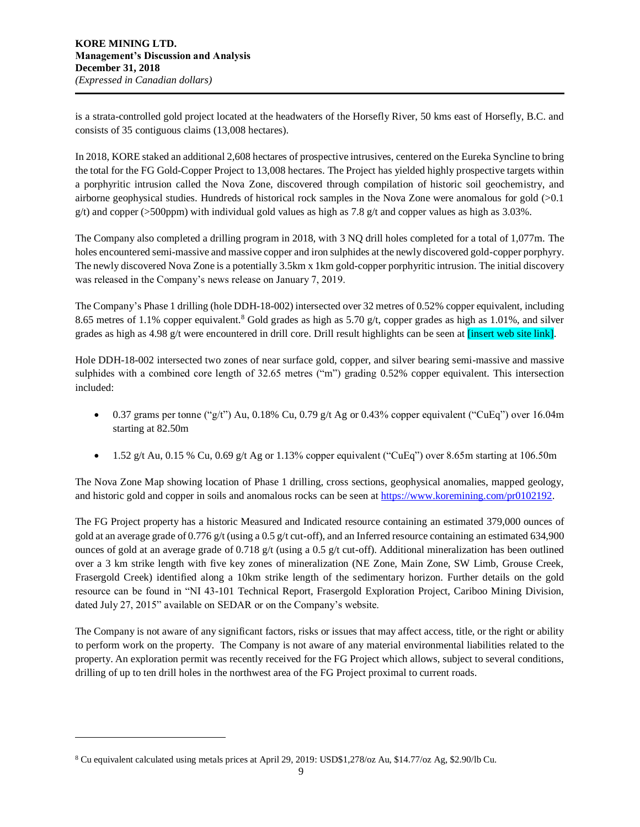is a strata-controlled gold project located at the headwaters of the Horsefly River, 50 kms east of Horsefly, B.C. and consists of 35 contiguous claims (13,008 hectares).

In 2018, KORE staked an additional 2,608 hectares of prospective intrusives, centered on the Eureka Syncline to bring the total for the FG Gold-Copper Project to 13,008 hectares. The Project has yielded highly prospective targets within a porphyritic intrusion called the Nova Zone, discovered through compilation of historic soil geochemistry, and airborne geophysical studies. Hundreds of historical rock samples in the Nova Zone were anomalous for gold (>0.1  $g(t)$  and copper (>500ppm) with individual gold values as high as 7.8 g/t and copper values as high as 3.03%.

The Company also completed a drilling program in 2018, with 3 NQ drill holes completed for a total of 1,077m. The holes encountered semi-massive and massive copper and iron sulphides at the newly discovered gold-copper porphyry. The newly discovered Nova Zone is a potentially 3.5km x 1km gold-copper porphyritic intrusion. The initial discovery was released in the Company's news release on January 7, 2019.

The Company's Phase 1 drilling (hole DDH-18-002) intersected over 32 metres of 0.52% copper equivalent, including 8.65 metres of 1.1% copper equivalent.<sup>8</sup> Gold grades as high as 5.70 g/t, copper grades as high as 1.01%, and silver grades as high as 4.98 g/t were encountered in drill core. Drill result highlights can be seen at [insert web site link].

Hole DDH-18-002 intersected two zones of near surface gold, copper, and silver bearing semi-massive and massive sulphides with a combined core length of 32.65 metres ("m") grading 0.52% copper equivalent. This intersection included:

- 0.37 grams per tonne ("g/t") Au, 0.18% Cu, 0.79 g/t Ag or 0.43% copper equivalent ("CuEq") over 16.04m starting at 82.50m
- 1.52 g/t Au, 0.15 % Cu, 0.69 g/t Ag or 1.13% copper equivalent ("CuEq") over 8.65m starting at 106.50m

The Nova Zone Map showing location of Phase 1 drilling, cross sections, geophysical anomalies, mapped geology, and historic gold and copper in soils and anomalous rocks can be seen at [https://www.koremining.com/pr0102192.](https://www.koremining.com/pr0102192)

The FG Project property has a historic Measured and Indicated resource containing an estimated 379,000 ounces of gold at an average grade of 0.776 g/t (using a 0.5 g/t cut-off), and an Inferred resource containing an estimated 634,900 ounces of gold at an average grade of 0.718 g/t (using a 0.5 g/t cut-off). Additional mineralization has been outlined over a 3 km strike length with five key zones of mineralization (NE Zone, Main Zone, SW Limb, Grouse Creek, Frasergold Creek) identified along a 10km strike length of the sedimentary horizon. Further details on the gold resource can be found in "NI 43-101 Technical Report, Frasergold Exploration Project, Cariboo Mining Division, dated July 27, 2015" available on SEDAR or on the Company's website.

The Company is not aware of any significant factors, risks or issues that may affect access, title, or the right or ability to perform work on the property. The Company is not aware of any material environmental liabilities related to the property. An exploration permit was recently received for the FG Project which allows, subject to several conditions, drilling of up to ten drill holes in the northwest area of the FG Project proximal to current roads.

l

<sup>8</sup> Cu equivalent calculated using metals prices at April 29, 2019: USD\$1,278/oz Au, \$14.77/oz Ag, \$2.90/lb Cu.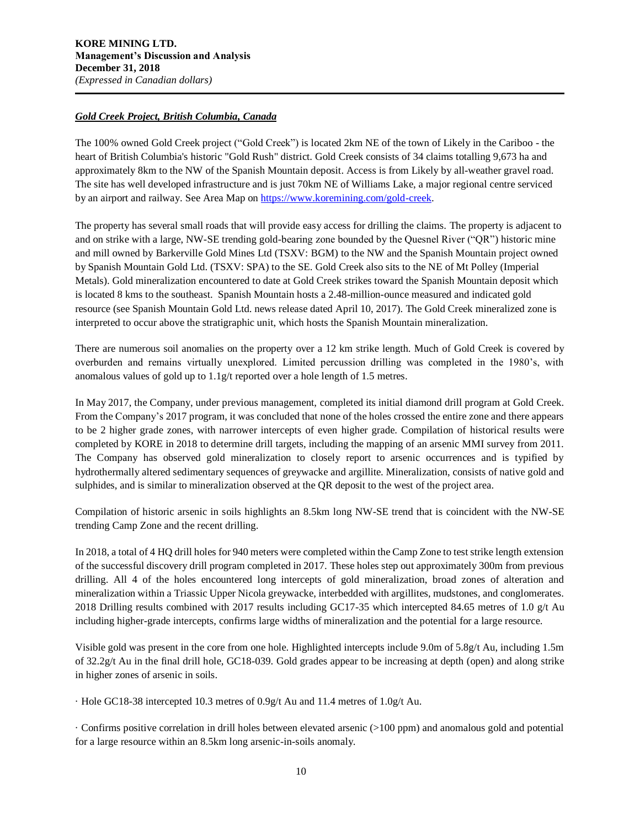# *Gold Creek Project, British Columbia, Canada*

The 100% owned Gold Creek project ("Gold Creek") is located 2km NE of the town of Likely in the Cariboo - the heart of British Columbia's historic "Gold Rush" district. Gold Creek consists of 34 claims totalling 9,673 ha and approximately 8km to the NW of the Spanish Mountain deposit. Access is from Likely by all-weather gravel road. The site has well developed infrastructure and is just 70km NE of Williams Lake, a major regional centre serviced by an airport and railway. See Area Map o[n https://www.koremining.com/gold-creek.](https://www.koremining.com/gold-creek)

The property has several small roads that will provide easy access for drilling the claims. The property is adjacent to and on strike with a large, NW-SE trending gold-bearing zone bounded by the Quesnel River ("QR") historic mine and mill owned by Barkerville Gold Mines Ltd (TSXV: BGM) to the NW and the Spanish Mountain project owned by Spanish Mountain Gold Ltd. (TSXV: SPA) to the SE. Gold Creek also sits to the NE of Mt Polley (Imperial Metals). Gold mineralization encountered to date at Gold Creek strikes toward the Spanish Mountain deposit which is located 8 kms to the southeast. Spanish Mountain hosts a 2.48-million-ounce measured and indicated gold resource (see Spanish Mountain Gold Ltd. news release dated April 10, 2017). The Gold Creek mineralized zone is interpreted to occur above the stratigraphic unit, which hosts the Spanish Mountain mineralization.

There are numerous soil anomalies on the property over a 12 km strike length. Much of Gold Creek is covered by overburden and remains virtually unexplored. Limited percussion drilling was completed in the 1980's, with anomalous values of gold up to 1.1g/t reported over a hole length of 1.5 metres.

In May 2017, the Company, under previous management, completed its initial diamond drill program at Gold Creek. From the Company's 2017 program, it was concluded that none of the holes crossed the entire zone and there appears to be 2 higher grade zones, with narrower intercepts of even higher grade. Compilation of historical results were completed by KORE in 2018 to determine drill targets, including the mapping of an arsenic MMI survey from 2011. The Company has observed gold mineralization to closely report to arsenic occurrences and is typified by hydrothermally altered sedimentary sequences of greywacke and argillite. Mineralization, consists of native gold and sulphides, and is similar to mineralization observed at the QR deposit to the west of the project area.

Compilation of historic arsenic in soils highlights an 8.5km long NW-SE trend that is coincident with the NW-SE trending Camp Zone and the recent drilling.

In 2018, a total of 4 HQ drill holes for 940 meters were completed within the Camp Zone to test strike length extension of the successful discovery drill program completed in 2017. These holes step out approximately 300m from previous drilling. All 4 of the holes encountered long intercepts of gold mineralization, broad zones of alteration and mineralization within a Triassic Upper Nicola greywacke, interbedded with argillites, mudstones, and conglomerates. 2018 Drilling results combined with 2017 results including GC17-35 which intercepted 84.65 metres of 1.0 g/t Au including higher-grade intercepts, confirms large widths of mineralization and the potential for a large resource.

Visible gold was present in the core from one hole. Highlighted intercepts include 9.0m of 5.8g/t Au, including 1.5m of 32.2g/t Au in the final drill hole, GC18-039. Gold grades appear to be increasing at depth (open) and along strike in higher zones of arsenic in soils.

· Hole GC18-38 intercepted 10.3 metres of 0.9g/t Au and 11.4 metres of 1.0g/t Au.

· Confirms positive correlation in drill holes between elevated arsenic (>100 ppm) and anomalous gold and potential for a large resource within an 8.5km long arsenic-in-soils anomaly.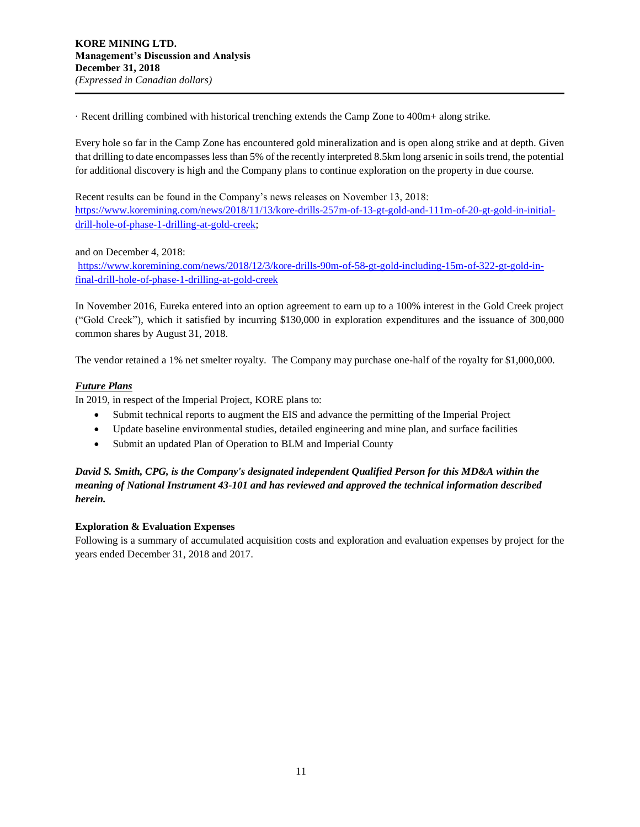· Recent drilling combined with historical trenching extends the Camp Zone to 400m+ along strike.

Every hole so far in the Camp Zone has encountered gold mineralization and is open along strike and at depth. Given that drilling to date encompasses less than 5% of the recently interpreted 8.5km long arsenic in soils trend, the potential for additional discovery is high and the Company plans to continue exploration on the property in due course.

Recent results can be found in the Company's news releases on November 13, 2018: [https://www.koremining.com/news/2018/11/13/kore-drills-257m-of-13-gt-gold-and-111m-of-20-gt-gold-in-initial](https://www.koremining.com/news/2018/11/13/kore-drills-257m-of-13-gt-gold-and-111m-of-20-gt-gold-in-initial-drill-hole-of-phase-1-drilling-at-gold-creek)[drill-hole-of-phase-1-drilling-at-gold-creek;](https://www.koremining.com/news/2018/11/13/kore-drills-257m-of-13-gt-gold-and-111m-of-20-gt-gold-in-initial-drill-hole-of-phase-1-drilling-at-gold-creek)

and on December 4, 2018:

[https://www.koremining.com/news/2018/12/3/kore-drills-90m-of-58-gt-gold-including-15m-of-322-gt-gold-in](https://www.koremining.com/news/2018/12/3/kore-drills-90m-of-58-gt-gold-including-15m-of-322-gt-gold-in-final-drill-hole-of-phase-1-drilling-at-gold-creek)[final-drill-hole-of-phase-1-drilling-at-gold-creek](https://www.koremining.com/news/2018/12/3/kore-drills-90m-of-58-gt-gold-including-15m-of-322-gt-gold-in-final-drill-hole-of-phase-1-drilling-at-gold-creek)

In November 2016, Eureka entered into an option agreement to earn up to a 100% interest in the Gold Creek project ("Gold Creek"), which it satisfied by incurring \$130,000 in exploration expenditures and the issuance of 300,000 common shares by August 31, 2018.

The vendor retained a 1% net smelter royalty. The Company may purchase one-half of the royalty for \$1,000,000.

# *Future Plans*

In 2019, in respect of the Imperial Project, KORE plans to:

- Submit technical reports to augment the EIS and advance the permitting of the Imperial Project
- Update baseline environmental studies, detailed engineering and mine plan, and surface facilities
- Submit an updated Plan of Operation to BLM and Imperial County

# *David S. Smith, CPG, is the Company's designated independent Qualified Person for this MD&A within the meaning of National Instrument 43-101 and has reviewed and approved the technical information described herein.*

# **Exploration & Evaluation Expenses**

Following is a summary of accumulated acquisition costs and exploration and evaluation expenses by project for the years ended December 31, 2018 and 2017.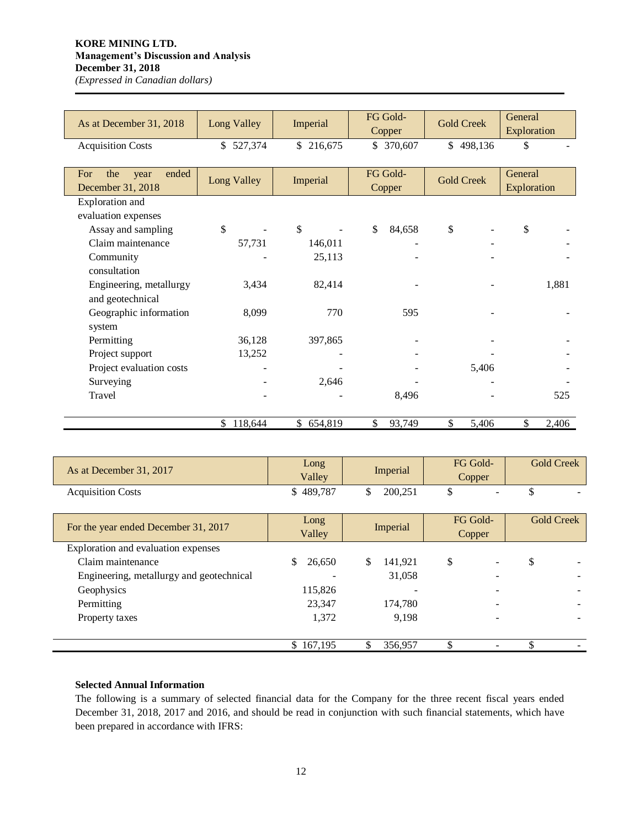# **KORE MINING LTD. Management's Discussion and Analysis December 31, 2018**

*(Expressed in Canadian dollars)*

| As at December 31, 2018                          | Long Valley | Imperial     | FG Gold-<br>Copper | <b>Gold Creek</b> | General<br>Exploration |
|--------------------------------------------------|-------------|--------------|--------------------|-------------------|------------------------|
| <b>Acquisition Costs</b>                         | \$527,374   | \$216,675    | \$ 370,607         | \$498,136         | \$                     |
| ended<br>For<br>the<br>year<br>December 31, 2018 | Long Valley | Imperial     | FG Gold-<br>Copper | <b>Gold Creek</b> | General<br>Exploration |
| Exploration and                                  |             |              |                    |                   |                        |
| evaluation expenses                              |             |              |                    |                   |                        |
| Assay and sampling                               | \$          | $\mathbb{S}$ | \$<br>84,658       | \$                | \$                     |
| Claim maintenance                                | 57,731      | 146,011      |                    |                   |                        |
| Community                                        |             | 25,113       |                    |                   |                        |
| consultation                                     |             |              |                    |                   |                        |
| Engineering, metallurgy<br>and geotechnical      | 3,434       | 82,414       |                    |                   | 1,881                  |
| Geographic information<br>system                 | 8,099       | 770          | 595                |                   |                        |
| Permitting                                       | 36,128      | 397,865      |                    |                   |                        |
| Project support                                  | 13,252      |              |                    |                   |                        |
| Project evaluation costs                         |             |              |                    | 5,406             |                        |
| Surveying                                        |             | 2,646        |                    |                   |                        |
| Travel                                           |             |              | 8,496              |                   | 525                    |
|                                                  | \$118,644   | \$654,819    | \$<br>93,749       | \$<br>5,406       | 2,406<br>\$            |

| As at December 31, 2017                  | Long<br>Valley | Imperial      | FG Gold-<br>Copper | <b>Gold Creek</b> |
|------------------------------------------|----------------|---------------|--------------------|-------------------|
| <b>Acquisition Costs</b>                 | \$489,787      | 200,251<br>\$ | \$                 | \$                |
| For the year ended December 31, 2017     | Long<br>Valley | Imperial      | FG Gold-<br>Copper | <b>Gold Creek</b> |
| Exploration and evaluation expenses      |                |               |                    |                   |
| Claim maintenance                        | \$<br>26,650   | \$<br>141.921 | \$                 | \$                |
| Engineering, metallurgy and geotechnical |                | 31,058        |                    |                   |
| Geophysics                               | 115,826        |               |                    |                   |
| Permitting                               | 23,347         | 174,780       |                    |                   |
| Property taxes                           | 1,372          | 9.198         |                    |                   |
|                                          | \$167,195      | 356,957       | \$                 |                   |

# **Selected Annual Information**

The following is a summary of selected financial data for the Company for the three recent fiscal years ended December 31, 2018, 2017 and 2016, and should be read in conjunction with such financial statements, which have been prepared in accordance with IFRS: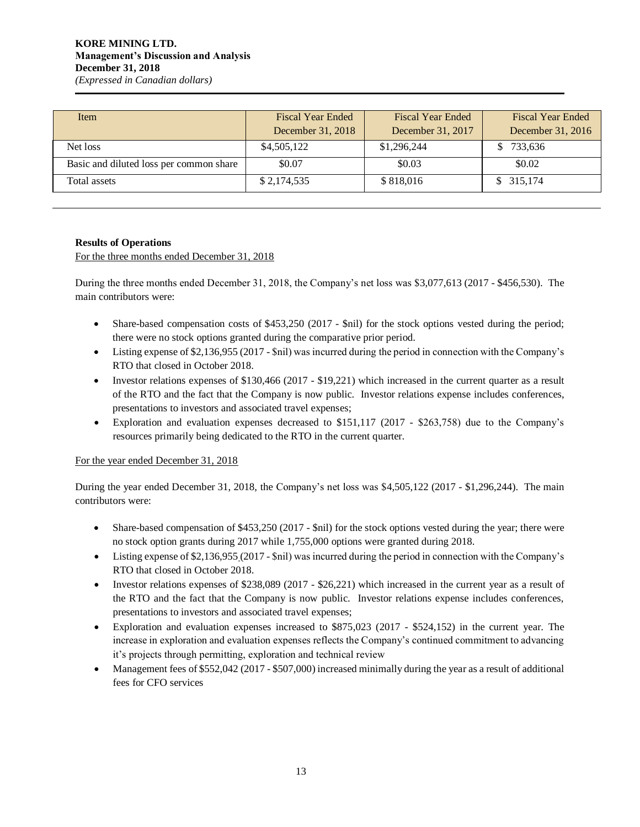| Item                                    | <b>Fiscal Year Ended</b> | <b>Fiscal Year Ended</b> | <b>Fiscal Year Ended</b> |
|-----------------------------------------|--------------------------|--------------------------|--------------------------|
|                                         | December 31, 2018        | December 31, 2017        | December 31, 2016        |
| Net loss                                | \$4,505,122              | \$1,296,244              | 733,636                  |
| Basic and diluted loss per common share | \$0.07                   | \$0.03                   | \$0.02                   |
| Total assets                            | \$2,174,535              | \$818,016                | \$315,174                |

# **Results of Operations**

For the three months ended December 31, 2018

During the three months ended December 31, 2018, the Company's net loss was \$3,077,613 (2017 - \$456,530). The main contributors were:

- Share-based compensation costs of \$453,250 (2017 \$nil) for the stock options vested during the period; there were no stock options granted during the comparative prior period.
- Listing expense of \$2,136,955 (2017 \$nil) was incurred during the period in connection with the Company's RTO that closed in October 2018.
- Investor relations expenses of \$130,466 (2017 \$19,221) which increased in the current quarter as a result of the RTO and the fact that the Company is now public. Investor relations expense includes conferences, presentations to investors and associated travel expenses;
- Exploration and evaluation expenses decreased to \$151,117 (2017 \$263,758) due to the Company's resources primarily being dedicated to the RTO in the current quarter.

# For the year ended December 31, 2018

During the year ended December 31, 2018, the Company's net loss was \$4,505,122 (2017 - \$1,296,244). The main contributors were:

- Share-based compensation of \$453,250 (2017 \$nil) for the stock options vested during the year; there were no stock option grants during 2017 while 1,755,000 options were granted during 2018.
- Listing expense of \$2,136,955 (2017 \$nil) was incurred during the period in connection with the Company's RTO that closed in October 2018.
- Investor relations expenses of \$238,089 (2017 \$26,221) which increased in the current year as a result of the RTO and the fact that the Company is now public. Investor relations expense includes conferences, presentations to investors and associated travel expenses;
- Exploration and evaluation expenses increased to \$875,023 (2017 \$524,152) in the current year. The increase in exploration and evaluation expenses reflects the Company's continued commitment to advancing it's projects through permitting, exploration and technical review
- Management fees of \$552,042 (2017 \$507,000) increased minimally during the year as a result of additional fees for CFO services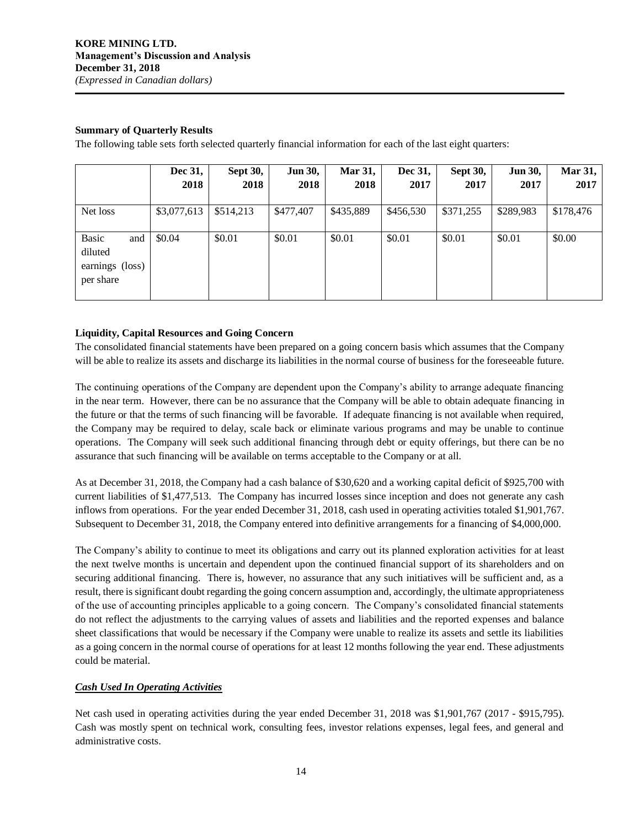# **Summary of Quarterly Results**

The following table sets forth selected quarterly financial information for each of the last eight quarters:

|                                                                | Dec 31,<br>2018 | <b>Sept 30,</b><br>2018 | <b>Jun 30,</b><br>2018 | <b>Mar 31,</b><br>2018 | Dec 31,<br>2017 | <b>Sept 30,</b><br>2017 | <b>Jun 30,</b><br>2017 | <b>Mar 31,</b><br>2017 |
|----------------------------------------------------------------|-----------------|-------------------------|------------------------|------------------------|-----------------|-------------------------|------------------------|------------------------|
| Net loss                                                       | \$3,077,613     | \$514,213               | \$477,407              | \$435,889              | \$456,530       | \$371,255               | \$289,983              | \$178,476              |
| <b>Basic</b><br>and<br>diluted<br>earnings (loss)<br>per share | \$0.04          | \$0.01                  | \$0.01                 | \$0.01                 | \$0.01          | \$0.01                  | \$0.01                 | \$0.00                 |

# **Liquidity, Capital Resources and Going Concern**

The consolidated financial statements have been prepared on a going concern basis which assumes that the Company will be able to realize its assets and discharge its liabilities in the normal course of business for the foreseeable future.

The continuing operations of the Company are dependent upon the Company's ability to arrange adequate financing in the near term. However, there can be no assurance that the Company will be able to obtain adequate financing in the future or that the terms of such financing will be favorable. If adequate financing is not available when required, the Company may be required to delay, scale back or eliminate various programs and may be unable to continue operations. The Company will seek such additional financing through debt or equity offerings, but there can be no assurance that such financing will be available on terms acceptable to the Company or at all.

As at December 31, 2018, the Company had a cash balance of \$30,620 and a working capital deficit of \$925,700 with current liabilities of \$1,477,513. The Company has incurred losses since inception and does not generate any cash inflows from operations. For the year ended December 31, 2018, cash used in operating activities totaled \$1,901,767. Subsequent to December 31, 2018, the Company entered into definitive arrangements for a financing of \$4,000,000.

The Company's ability to continue to meet its obligations and carry out its planned exploration activities for at least the next twelve months is uncertain and dependent upon the continued financial support of its shareholders and on securing additional financing. There is, however, no assurance that any such initiatives will be sufficient and, as a result, there is significant doubt regarding the going concern assumption and, accordingly, the ultimate appropriateness of the use of accounting principles applicable to a going concern. The Company's consolidated financial statements do not reflect the adjustments to the carrying values of assets and liabilities and the reported expenses and balance sheet classifications that would be necessary if the Company were unable to realize its assets and settle its liabilities as a going concern in the normal course of operations for at least 12 months following the year end. These adjustments could be material.

# *Cash Used In Operating Activities*

Net cash used in operating activities during the year ended December 31, 2018 was \$1,901,767 (2017 - \$915,795). Cash was mostly spent on technical work, consulting fees, investor relations expenses, legal fees, and general and administrative costs.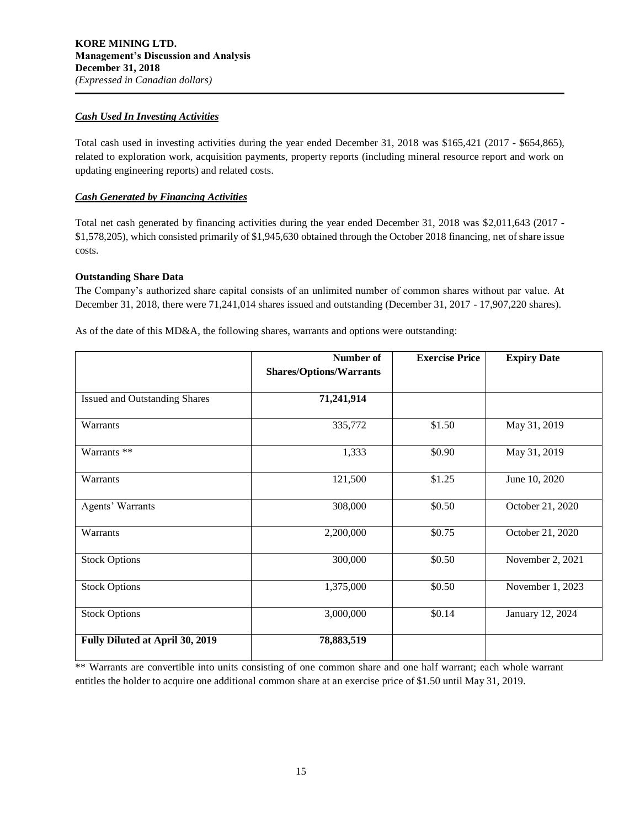## *Cash Used In Investing Activities*

Total cash used in investing activities during the year ended December 31, 2018 was \$165,421 (2017 - \$654,865), related to exploration work, acquisition payments, property reports (including mineral resource report and work on updating engineering reports) and related costs.

# *Cash Generated by Financing Activities*

Total net cash generated by financing activities during the year ended December 31, 2018 was \$2,011,643 (2017 - \$1,578,205), which consisted primarily of \$1,945,630 obtained through the October 2018 financing, net of share issue costs.

# **Outstanding Share Data**

The Company's authorized share capital consists of an unlimited number of common shares without par value. At December 31, 2018, there were 71,241,014 shares issued and outstanding (December 31, 2017 - 17,907,220 shares).

|                                      | Number of                      | <b>Exercise Price</b> | <b>Expiry Date</b> |
|--------------------------------------|--------------------------------|-----------------------|--------------------|
|                                      | <b>Shares/Options/Warrants</b> |                       |                    |
| <b>Issued and Outstanding Shares</b> | 71,241,914                     |                       |                    |
| Warrants                             | 335,772                        | \$1.50                | May 31, 2019       |
| Warrants **                          | 1,333                          | \$0.90                | May 31, 2019       |
| Warrants                             | 121,500                        | \$1.25                | June 10, 2020      |
| Agents' Warrants                     | 308,000                        | \$0.50                | October 21, 2020   |
| Warrants                             | 2,200,000                      | \$0.75                | October 21, 2020   |
| <b>Stock Options</b>                 | 300,000                        | \$0.50                | November 2, 2021   |
| <b>Stock Options</b>                 | 1,375,000                      | \$0.50                | November 1, 2023   |
| <b>Stock Options</b>                 | 3,000,000                      | \$0.14                | January 12, 2024   |
| Fully Diluted at April 30, 2019      | 78,883,519                     |                       |                    |

As of the date of this MD&A, the following shares, warrants and options were outstanding:

\*\* Warrants are convertible into units consisting of one common share and one half warrant; each whole warrant entitles the holder to acquire one additional common share at an exercise price of \$1.50 until May 31, 2019.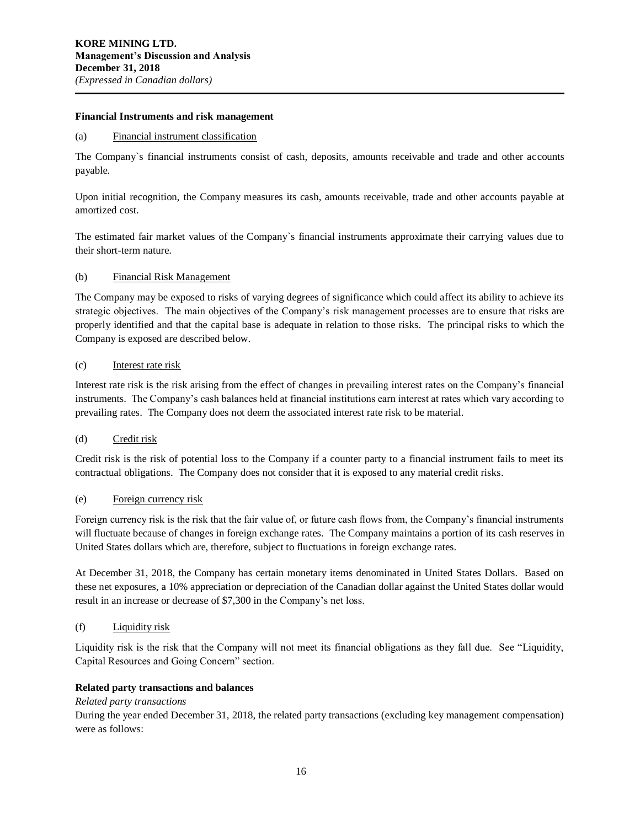#### **Financial Instruments and risk management**

#### (a) Financial instrument classification

The Company`s financial instruments consist of cash, deposits, amounts receivable and trade and other accounts payable.

Upon initial recognition, the Company measures its cash, amounts receivable, trade and other accounts payable at amortized cost.

The estimated fair market values of the Company`s financial instruments approximate their carrying values due to their short-term nature.

#### (b) Financial Risk Management

The Company may be exposed to risks of varying degrees of significance which could affect its ability to achieve its strategic objectives. The main objectives of the Company's risk management processes are to ensure that risks are properly identified and that the capital base is adequate in relation to those risks. The principal risks to which the Company is exposed are described below.

#### (c) Interest rate risk

Interest rate risk is the risk arising from the effect of changes in prevailing interest rates on the Company's financial instruments. The Company's cash balances held at financial institutions earn interest at rates which vary according to prevailing rates. The Company does not deem the associated interest rate risk to be material.

#### (d) Credit risk

Credit risk is the risk of potential loss to the Company if a counter party to a financial instrument fails to meet its contractual obligations. The Company does not consider that it is exposed to any material credit risks.

# (e) Foreign currency risk

Foreign currency risk is the risk that the fair value of, or future cash flows from, the Company's financial instruments will fluctuate because of changes in foreign exchange rates. The Company maintains a portion of its cash reserves in United States dollars which are, therefore, subject to fluctuations in foreign exchange rates.

At December 31, 2018, the Company has certain monetary items denominated in United States Dollars. Based on these net exposures, a 10% appreciation or depreciation of the Canadian dollar against the United States dollar would result in an increase or decrease of \$7,300 in the Company's net loss.

## (f) Liquidity risk

Liquidity risk is the risk that the Company will not meet its financial obligations as they fall due. See "Liquidity, Capital Resources and Going Concern" section.

#### **Related party transactions and balances**

#### *Related party transactions*

During the year ended December 31, 2018, the related party transactions (excluding key management compensation) were as follows: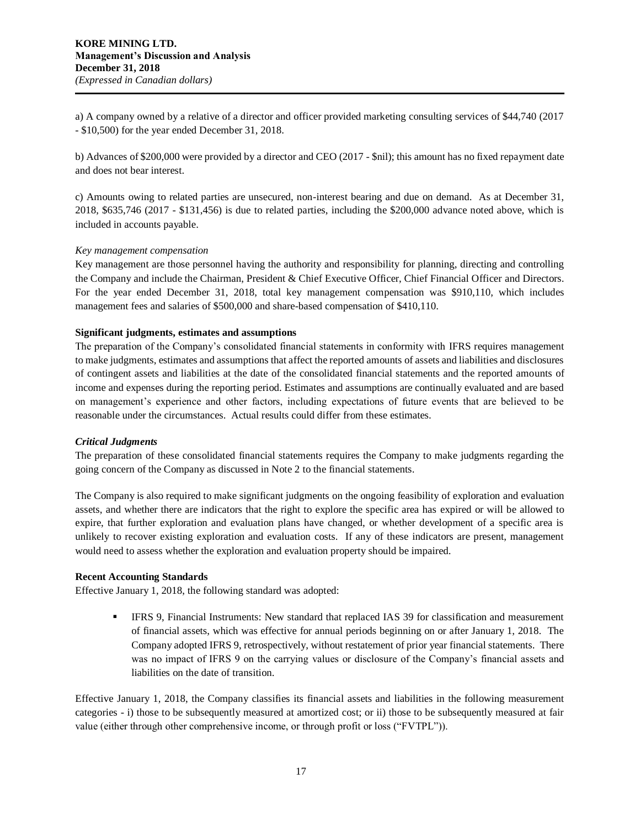a) A company owned by a relative of a director and officer provided marketing consulting services of \$44,740 (2017 - \$10,500) for the year ended December 31, 2018.

b) Advances of \$200,000 were provided by a director and CEO (2017 - \$nil); this amount has no fixed repayment date and does not bear interest.

c) Amounts owing to related parties are unsecured, non-interest bearing and due on demand. As at December 31, 2018, \$635,746 (2017 - \$131,456) is due to related parties, including the \$200,000 advance noted above, which is included in accounts payable.

## *Key management compensation*

Key management are those personnel having the authority and responsibility for planning, directing and controlling the Company and include the Chairman, President & Chief Executive Officer, Chief Financial Officer and Directors. For the year ended December 31, 2018, total key management compensation was \$910,110, which includes management fees and salaries of \$500,000 and share-based compensation of \$410,110.

## **Significant judgments, estimates and assumptions**

The preparation of the Company's consolidated financial statements in conformity with IFRS requires management to make judgments, estimates and assumptions that affect the reported amounts of assets and liabilities and disclosures of contingent assets and liabilities at the date of the consolidated financial statements and the reported amounts of income and expenses during the reporting period. Estimates and assumptions are continually evaluated and are based on management's experience and other factors, including expectations of future events that are believed to be reasonable under the circumstances. Actual results could differ from these estimates.

#### *Critical Judgments*

The preparation of these consolidated financial statements requires the Company to make judgments regarding the going concern of the Company as discussed in Note 2 to the financial statements.

The Company is also required to make significant judgments on the ongoing feasibility of exploration and evaluation assets, and whether there are indicators that the right to explore the specific area has expired or will be allowed to expire, that further exploration and evaluation plans have changed, or whether development of a specific area is unlikely to recover existing exploration and evaluation costs. If any of these indicators are present, management would need to assess whether the exploration and evaluation property should be impaired.

#### **Recent Accounting Standards**

Effective January 1, 2018, the following standard was adopted:

IFRS 9, Financial Instruments: New standard that replaced IAS 39 for classification and measurement of financial assets, which was effective for annual periods beginning on or after January 1, 2018. The Company adopted IFRS 9, retrospectively, without restatement of prior year financial statements. There was no impact of IFRS 9 on the carrying values or disclosure of the Company's financial assets and liabilities on the date of transition.

Effective January 1, 2018, the Company classifies its financial assets and liabilities in the following measurement categories - i) those to be subsequently measured at amortized cost; or ii) those to be subsequently measured at fair value (either through other comprehensive income, or through profit or loss ("FVTPL")).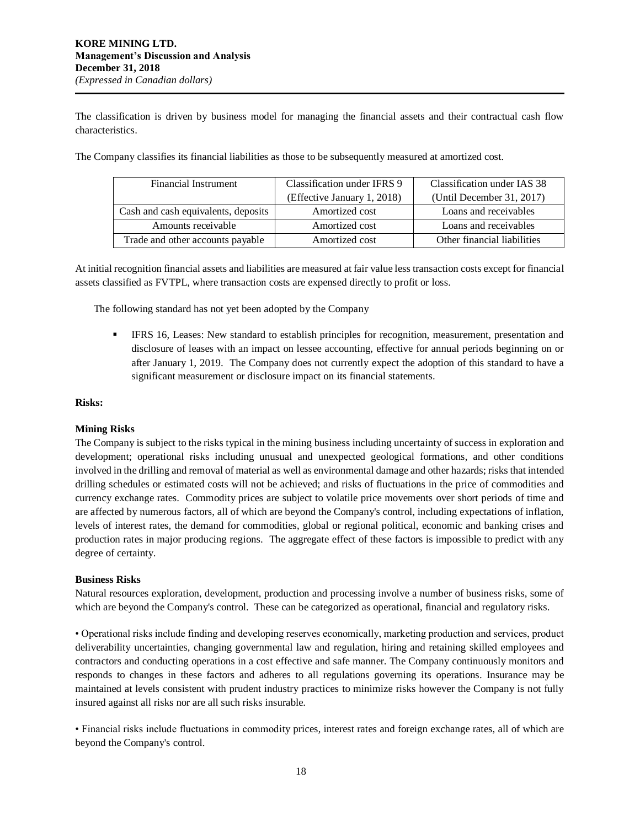The classification is driven by business model for managing the financial assets and their contractual cash flow characteristics.

| Financial Instrument                | Classification under IFRS 9 | Classification under IAS 38 |  |
|-------------------------------------|-----------------------------|-----------------------------|--|
|                                     | (Effective January 1, 2018) | (Until December 31, 2017)   |  |
| Cash and cash equivalents, deposits | Amortized cost              | Loans and receivables       |  |
| Amounts receivable                  | Amortized cost              | Loans and receivables       |  |
| Trade and other accounts payable    | Amortized cost              | Other financial liabilities |  |

The Company classifies its financial liabilities as those to be subsequently measured at amortized cost.

At initial recognition financial assets and liabilities are measured at fair value less transaction costs except for financial assets classified as FVTPL, where transaction costs are expensed directly to profit or loss.

The following standard has not yet been adopted by the Company

**• IFRS 16, Leases: New standard to establish principles for recognition, measurement, presentation and** disclosure of leases with an impact on lessee accounting, effective for annual periods beginning on or after January 1, 2019. The Company does not currently expect the adoption of this standard to have a significant measurement or disclosure impact on its financial statements.

# **Risks:**

# **Mining Risks**

The Company is subject to the risks typical in the mining business including uncertainty of success in exploration and development; operational risks including unusual and unexpected geological formations, and other conditions involved in the drilling and removal of material as well as environmental damage and other hazards; risks that intended drilling schedules or estimated costs will not be achieved; and risks of fluctuations in the price of commodities and currency exchange rates. Commodity prices are subject to volatile price movements over short periods of time and are affected by numerous factors, all of which are beyond the Company's control, including expectations of inflation, levels of interest rates, the demand for commodities, global or regional political, economic and banking crises and production rates in major producing regions. The aggregate effect of these factors is impossible to predict with any degree of certainty.

# **Business Risks**

Natural resources exploration, development, production and processing involve a number of business risks, some of which are beyond the Company's control. These can be categorized as operational, financial and regulatory risks.

• Operational risks include finding and developing reserves economically, marketing production and services, product deliverability uncertainties, changing governmental law and regulation, hiring and retaining skilled employees and contractors and conducting operations in a cost effective and safe manner. The Company continuously monitors and responds to changes in these factors and adheres to all regulations governing its operations. Insurance may be maintained at levels consistent with prudent industry practices to minimize risks however the Company is not fully insured against all risks nor are all such risks insurable.

• Financial risks include fluctuations in commodity prices, interest rates and foreign exchange rates, all of which are beyond the Company's control.